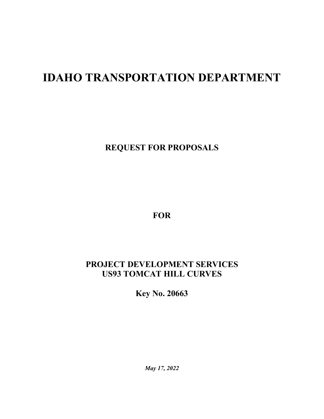# **IDAHO TRANSPORTATION DEPARTMENT**

**REQUEST FOR PROPOSALS**

**FOR**

## **PROJECT DEVELOPMENT SERVICES US93 TOMCAT HILL CURVES**

**Key No. 20663**

*May 17, 2022*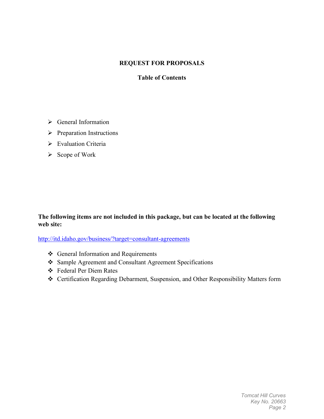#### **REQUEST FOR PROPOSALS**

#### **Table of Contents**

- General Information
- $\triangleright$  Preparation Instructions
- Evaluation Criteria
- $\triangleright$  Scope of Work

#### **The following items are not included in this package, but can be located at the following web site:**

<http://itd.idaho.gov/business/?target=consultant-agreements>

- General Information and Requirements
- Sample Agreement and Consultant Agreement Specifications
- Federal Per Diem Rates
- Certification Regarding Debarment, Suspension, and Other Responsibility Matters form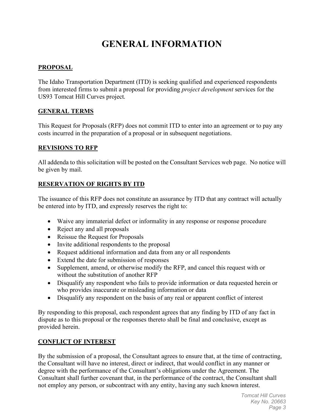## **GENERAL INFORMATION**

#### **PROPOSAL**

The Idaho Transportation Department (ITD) is seeking qualified and experienced respondents from interested firms to submit a proposal for providing *project development* services for the US93 Tomcat Hill Curves project.

#### **GENERAL TERMS**

This Request for Proposals (RFP) does not commit ITD to enter into an agreement or to pay any costs incurred in the preparation of a proposal or in subsequent negotiations.

#### **REVISIONS TO RFP**

All addenda to this solicitation will be posted on the Consultant Services web page. No notice will be given by mail.

#### **RESERVATION OF RIGHTS BY ITD**

The issuance of this RFP does not constitute an assurance by ITD that any contract will actually be entered into by ITD, and expressly reserves the right to:

- Waive any immaterial defect or informality in any response or response procedure
- Reject any and all proposals
- Reissue the Request for Proposals
- Invite additional respondents to the proposal
- Request additional information and data from any or all respondents
- Extend the date for submission of responses
- Supplement, amend, or otherwise modify the RFP, and cancel this request with or without the substitution of another RFP
- Disqualify any respondent who fails to provide information or data requested herein or who provides inaccurate or misleading information or data
- Disqualify any respondent on the basis of any real or apparent conflict of interest

By responding to this proposal, each respondent agrees that any finding by ITD of any fact in dispute as to this proposal or the responses thereto shall be final and conclusive, except as provided herein.

#### **CONFLICT OF INTEREST**

By the submission of a proposal, the Consultant agrees to ensure that, at the time of contracting, the Consultant will have no interest, direct or indirect, that would conflict in any manner or degree with the performance of the Consultant's obligations under the Agreement. The Consultant shall further covenant that, in the performance of the contract, the Consultant shall not employ any person, or subcontract with any entity, having any such known interest.

> *Tomcat Hill Curves Key No. 20663 Page 3*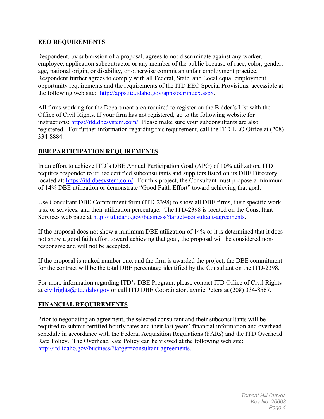#### **EEO REQUIREMENTS**

Respondent, by submission of a proposal, agrees to not discriminate against any worker, employee, application subcontractor or any member of the public because of race, color, gender, age, national origin, or disability, or otherwise commit an unfair employment practice. Respondent further agrees to comply with all Federal, State, and Local equal employment opportunity requirements and the requirements of the ITD EEO Special Provisions, accessible at the following web site: http://apps.itd.idaho.gov/apps/ocr/index.aspx.

All firms working for the Department area required to register on the Bidder's List with the Office of Civil Rights. If your firm has not registered, go to the following website for instructions: [https://itd.dbesystem.com/.](https://itd.dbesystem.com/) Please make sure your subconsultants are also registered. For further information regarding this requirement, call the ITD EEO Office at (208) 334-8884.

#### **DBE PARTICIPATION REQUIREMENTS**

In an effort to achieve ITD's DBE Annual Participation Goal (APG) of 10% utilization, ITD requires responder to utilize certified subconsultants and suppliers listed on its DBE Directory located at: [https://itd.dbesystem.com/.](https://itd.dbesystem.com/) For this project, the Consultant must propose a minimum of 14% DBE utilization or demonstrate "Good Faith Effort" toward achieving that goal.

Use Consultant DBE Commitment form (ITD-2398) to show all DBE firms, their specific work task or services, and their utilization percentage. The ITD-2398 is located on the Consultant Services web page at [http://itd.idaho.gov/business/?target=consultant-agreements.](http://itd.idaho.gov/business/?target=consultant-agreements)

If the proposal does not show a minimum DBE utilization of 14% or it is determined that it does not show a good faith effort toward achieving that goal, the proposal will be considered nonresponsive and will not be accepted.

If the proposal is ranked number one, and the firm is awarded the project, the DBE commitment for the contract will be the total DBE percentage identified by the Consultant on the ITD-2398.

For more information regarding ITD's DBE Program, please contact ITD Office of Civil Rights at [civilrights@itd.idaho.gov](mailto:civilrights@itd.idaho.gov) or call ITD DBE Coordinator Jaymie Peters at (208) 334-8567.

#### **FINANCIAL REQUIREMENTS**

Prior to negotiating an agreement, the selected consultant and their subconsultants will be required to submit certified hourly rates and their last years' financial information and overhead schedule in accordance with the Federal Acquisition Regulations (FARs) and the ITD Overhead Rate Policy. The Overhead Rate Policy can be viewed at the following web site: [http://itd.idaho.gov/business/?target=consultant-agreements.](http://itd.idaho.gov/business/?target=consultant-agreements)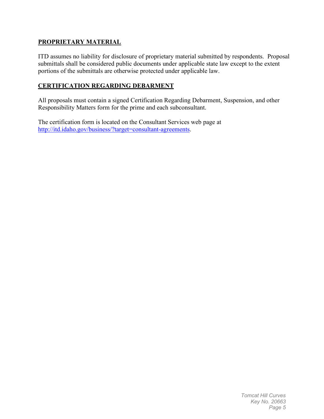#### **PROPRIETARY MATERIAL**

ITD assumes no liability for disclosure of proprietary material submitted by respondents. Proposal submittals shall be considered public documents under applicable state law except to the extent portions of the submittals are otherwise protected under applicable law.

#### **CERTIFICATION REGARDING DEBARMENT**

All proposals must contain a signed Certification Regarding Debarment, Suspension, and other Responsibility Matters form for the prime and each subconsultant.

The certification form is located on the Consultant Services web page at [http://itd.idaho.gov/business/?target=consultant-agreements.](http://itd.idaho.gov/business/?target=consultant-agreements)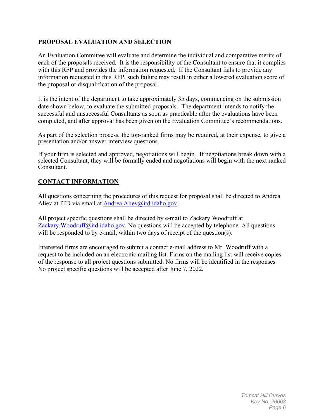#### **PROPOSAL EVALUATION AND SELECTION**

An Evaluation Committee will evaluate and determine the individual and comparative merits of each of the proposals received. It is the responsibility of the Consultant to ensure that it complies with this RFP and provides the information requested. If the Consultant fails to provide any information requested in this RFP, such failure may result in either a lowered evaluation score of the proposal or disqualification of the proposal.

It is the intent of the department to take approximately 35 days, commencing on the submission date shown below, to evaluate the submitted proposals. The department intends to notify the successful and unsuccessful Consultants as soon as practicable after the evaluations have been completed, and after approval has been given on the Evaluation Committee's recommendations.

As part of the selection process, the top-ranked firms may be required, at their expense, to give a presentation and/or answer interview questions.

If your firm is selected and approved, negotiations will begin. If negotiations break down with a selected Consultant, they will be formally ended and negotiations will begin with the next ranked Consultant.

#### **CONTACT INFORMATION**

All questions concerning the procedures of this request for proposal shall be directed to Andrea Aliev at ITD via email at [Andrea.Aliev@itd.idaho.gov.](mailto:Andrea.Aliev@itd.idaho.gov)

All project specific questions shall be directed by e-mail to Zackary Woodruff at Zackary. Woodruff@itd.idaho.gov. No questions will be accepted by telephone. All questions will be responded to by e-mail, within two days of receipt of the question(s).

Interested firms are encouraged to submit a contact e-mail address to Mr. Woodruff with a request to be included on an electronic mailing list. Firms on the mailing list will receive copies of the response to all project questions submitted. No firms will be identified in the responses. No project specific questions will be accepted after June 7, 2022.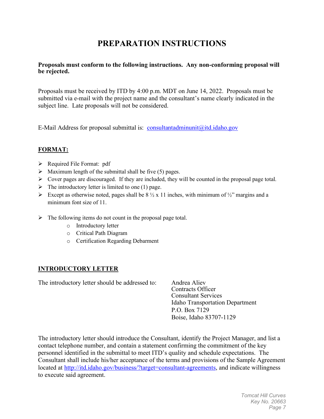## **PREPARATION INSTRUCTIONS**

#### **Proposals must conform to the following instructions. Any non-conforming proposal will be rejected.**

Proposals must be received by ITD by 4:00 p.m. MDT on June 14, 2022. Proposals must be submitted via e-mail with the project name and the consultant's name clearly indicated in the subject line. Late proposals will not be considered.

E-Mail Address for proposal submittal is: [consultantadminunit@itd.idaho.gov](mailto:consultantadminunit@itd.idaho.gov)

#### **FORMAT:**

- $\triangleright$  Required File Format: pdf
- $\triangleright$  Maximum length of the submittal shall be five (5) pages.
- Cover pages are discouraged. If they are included, they will be counted in the proposal page total.
- $\triangleright$  The introductory letter is limited to one (1) page.
- Except as otherwise noted, pages shall be  $8\frac{1}{2} \times 11$  inches, with minimum of  $\frac{1}{2}$ " margins and a minimum font size of 11.
- $\triangleright$  The following items do not count in the proposal page total.
	- o Introductory letter
	- o Critical Path Diagram
	- o Certification Regarding Debarment

#### **INTRODUCTORY LETTER**

The introductory letter should be addressed to: Andrea Aliev

Contracts Officer Consultant Services Idaho Transportation Department P.O. Box 7129 Boise, Idaho 83707-1129

The introductory letter should introduce the Consultant, identify the Project Manager, and list a contact telephone number, and contain a statement confirming the commitment of the key personnel identified in the submittal to meet ITD's quality and schedule expectations. The Consultant shall include his/her acceptance of the terms and provisions of the Sample Agreement located at [http://itd.idaho.gov/business/?target=consultant-agreements,](http://itd.idaho.gov/business/?target=consultant-agreements) and indicate willingness to execute said agreement.

> *Tomcat Hill Curves Key No. 20663 Page 7*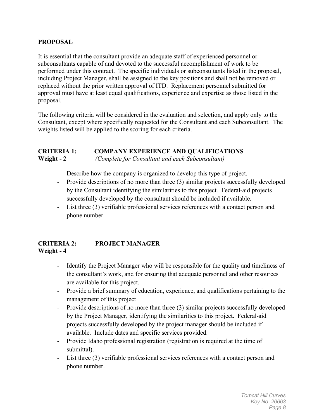#### **PROPOSAL**

It is essential that the consultant provide an adequate staff of experienced personnel or subconsultants capable of and devoted to the successful accomplishment of work to be performed under this contract. The specific individuals or subconsultants listed in the proposal, including Project Manager, shall be assigned to the key positions and shall not be removed or replaced without the prior written approval of ITD. Replacement personnel submitted for approval must have at least equal qualifications, experience and expertise as those listed in the proposal.

The following criteria will be considered in the evaluation and selection, and apply only to the Consultant, except where specifically requested for the Consultant and each Subconsultant. The weights listed will be applied to the scoring for each criteria.

#### **CRITERIA 1: COMPANY EXPERIENCE AND QUALIFICATIONS Weight - 2** *(Complete for Consultant and each Subconsultant)*

- Describe how the company is organized to develop this type of project.
- Provide descriptions of no more than three (3) similar projects successfully developed by the Consultant identifying the similarities to this project. Federal-aid projects successfully developed by the consultant should be included if available.
- List three (3) verifiable professional services references with a contact person and phone number.

#### **CRITERIA 2: PROJECT MANAGER Weight - 4**

- Identify the Project Manager who will be responsible for the quality and timeliness of the consultant's work, and for ensuring that adequate personnel and other resources are available for this project.
- Provide a brief summary of education, experience, and qualifications pertaining to the management of this project
- Provide descriptions of no more than three (3) similar projects successfully developed by the Project Manager, identifying the similarities to this project. Federal-aid projects successfully developed by the project manager should be included if available. Include dates and specific services provided.
- Provide Idaho professional registration (registration is required at the time of submittal).
- List three (3) verifiable professional services references with a contact person and phone number.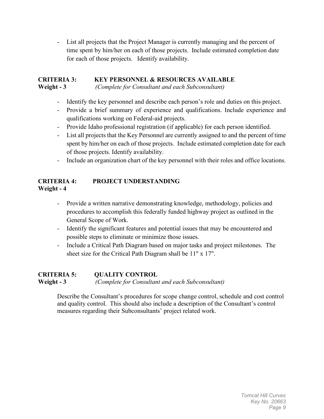- List all projects that the Project Manager is currently managing and the percent of time spent by him/her on each of those projects. Include estimated completion date for each of those projects. Identify availability.

#### **CRITERIA 3: KEY PERSONNEL & RESOURCES AVAILABLE Weight - 3** *(Complete for Consultant and each Subconsultant)*

- Identify the key personnel and describe each person's role and duties on this project.
- Provide a brief summary of experience and qualifications. Include experience and qualifications working on Federal-aid projects.
- Provide Idaho professional registration (if applicable) for each person identified.
- List all projects that the Key Personnel are currently assigned to and the percent of time spent by him/her on each of those projects. Include estimated completion date for each of those projects. Identify availability.
- Include an organization chart of the key personnel with their roles and office locations.

#### **CRITERIA 4: PROJECT UNDERSTANDING Weight - 4**

- Provide a written narrative demonstrating knowledge, methodology, policies and procedures to accomplish this federally funded highway project as outlined in the General Scope of Work.
- Identify the significant features and potential issues that may be encountered and possible steps to eliminate or minimize those issues.
- Include a Critical Path Diagram based on major tasks and project milestones. The sheet size for the Critical Path Diagram shall be 11" x 17".

#### **CRITERIA 5: QUALITY CONTROL Weight - 3** *(Complete for Consultant and each Subconsultant)*

Describe the Consultant's procedures for scope change control, schedule and cost control and quality control. This should also include a description of the Consultant's control measures regarding their Subconsultants' project related work.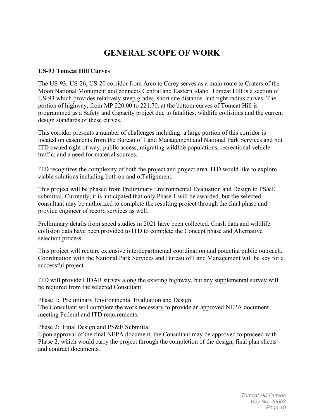## **GENERAL SCOPE OF WORK**

#### **US-93 Tomcat Hill Curves**

The US-93, US-26, US-20 corridor from Arco to Carey serves as a main route to Craters of the Moon National Monument and connects Central and Eastern Idaho. Tomcat Hill is a section of US-93 which provides relatively steep grades, short site distance, and tight radius curves. The portion of highway, from MP 220.00 to 221.70, at the bottom curves of Tomcat Hill is programmed as a Safety and Capacity project due to fatalities, wildlife collisions and the current design standards of these curves.

This corridor presents a number of challenges including: a large portion of this corridor is located on easements from the Bureau of Land Management and National Park Services and not ITD owned right of way, public access, migrating wildlife populations, recreational vehicle traffic, and a need for material sources.

ITD recognizes the complexity of both the project and project area. ITD would like to explore viable solutions including both on and off alignment.

This project will be phased from Preliminary Environmental Evaluation and Design to PS&E submittal. Currently, it is anticipated that only Phase 1 will be awarded, but the selected consultant may be authorized to complete the resulting project through the final phase and provide engineer of record services as well.

Preliminary details from speed studies in 2021 have been collected. Crash data and wildlife collision data have been provided to ITD to complete the Concept phase and Alternative selection process.

This project will require extensive interdepartmental coordination and potential public outreach. Coordination with the National Park Services and Bureau of Land Management will be key for a successful project.

ITD will provide LIDAR survey along the existing highway, but any supplemental survey will be required from the selected Consultant.

#### Phase 1: Preliminary Environmental Evaluation and Design

The Consultant will complete the work necessary to provide an approved NEPA document meeting Federal and ITD requirements.

#### Phase 2: Final Design and PS&E Submittal

Upon approval of the final NEPA document, the Consultant may be approved to proceed with Phase 2, which would carry the project through the completion of the design, final plan sheets and contract documents.